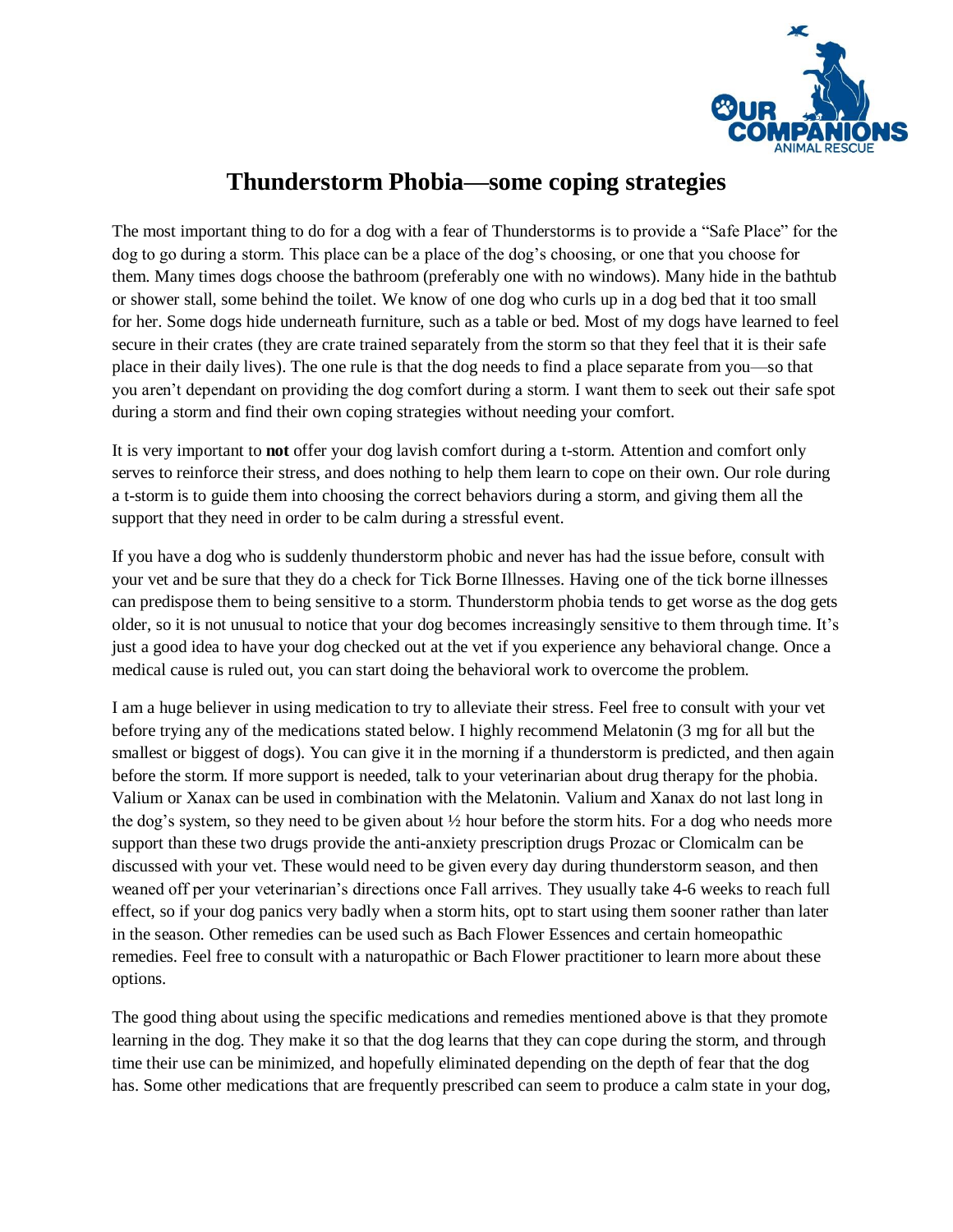

## **Thunderstorm Phobia—some coping strategies**

The most important thing to do for a dog with a fear of Thunderstorms is to provide a "Safe Place" for the dog to go during a storm. This place can be a place of the dog's choosing, or one that you choose for them. Many times dogs choose the bathroom (preferably one with no windows). Many hide in the bathtub or shower stall, some behind the toilet. We know of one dog who curls up in a dog bed that it too small for her. Some dogs hide underneath furniture, such as a table or bed. Most of my dogs have learned to feel secure in their crates (they are crate trained separately from the storm so that they feel that it is their safe place in their daily lives). The one rule is that the dog needs to find a place separate from you—so that you aren't dependant on providing the dog comfort during a storm. I want them to seek out their safe spot during a storm and find their own coping strategies without needing your comfort.

It is very important to **not** offer your dog lavish comfort during a t-storm. Attention and comfort only serves to reinforce their stress, and does nothing to help them learn to cope on their own. Our role during a t-storm is to guide them into choosing the correct behaviors during a storm, and giving them all the support that they need in order to be calm during a stressful event.

If you have a dog who is suddenly thunderstorm phobic and never has had the issue before, consult with your vet and be sure that they do a check for Tick Borne Illnesses. Having one of the tick borne illnesses can predispose them to being sensitive to a storm. Thunderstorm phobia tends to get worse as the dog gets older, so it is not unusual to notice that your dog becomes increasingly sensitive to them through time. It's just a good idea to have your dog checked out at the vet if you experience any behavioral change. Once a medical cause is ruled out, you can start doing the behavioral work to overcome the problem.

I am a huge believer in using medication to try to alleviate their stress. Feel free to consult with your vet before trying any of the medications stated below. I highly recommend Melatonin (3 mg for all but the smallest or biggest of dogs). You can give it in the morning if a thunderstorm is predicted, and then again before the storm. If more support is needed, talk to your veterinarian about drug therapy for the phobia. Valium or Xanax can be used in combination with the Melatonin. Valium and Xanax do not last long in the dog's system, so they need to be given about ½ hour before the storm hits. For a dog who needs more support than these two drugs provide the anti-anxiety prescription drugs Prozac or Clomicalm can be discussed with your vet. These would need to be given every day during thunderstorm season, and then weaned off per your veterinarian's directions once Fall arrives. They usually take 4-6 weeks to reach full effect, so if your dog panics very badly when a storm hits, opt to start using them sooner rather than later in the season. Other remedies can be used such as Bach Flower Essences and certain homeopathic remedies. Feel free to consult with a naturopathic or Bach Flower practitioner to learn more about these options.

The good thing about using the specific medications and remedies mentioned above is that they promote learning in the dog. They make it so that the dog learns that they can cope during the storm, and through time their use can be minimized, and hopefully eliminated depending on the depth of fear that the dog has. Some other medications that are frequently prescribed can seem to produce a calm state in your dog,